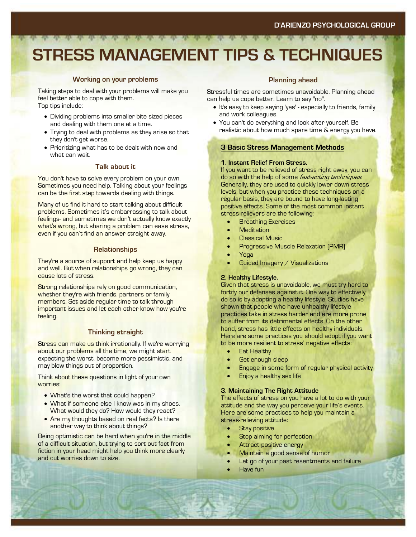# **STRESS MANAGEMENT TIPS & TECHNIQUES**

#### **Working on your problems**

Taking steps to deal with your problems will make you feel better able to cope with them. Top tips include:

- Dividing problems into smaller bite sized pieces and dealing with them one at a time.
- Trying to deal with problems as they arise so that they don't get worse.
- Prioritizing what has to be dealt with now and what can wait.

#### **Talk about it**

You don't have to solve every problem on your own. Sometimes you need help. Talking about your feelings can be the first step towards dealing with things.

Many of us find it hard to start talking about difficult problems. Sometimes it's embarrassing to talk about feelings- and sometimes we don't actually know exactly what's wrong, but sharing a problem can ease stress, even if you can't find an answer straight away.

#### **Relationships**

They're a source of support and help keep us happy and well. But when relationships go wrong, they can cause lots of stress.

Strong relationships rely on good communication, whether they're with friends, partners or family members. Set aside regular time to talk through important issues and let each other know how you're feeling.

#### **Thinking straight**

Stress can make us think irrationally. If we're worrying about our problems all the time, we might start expecting the worst, become more pessimistic, and may blow things out of proportion.

Think about these questions in light of your own worries:

- What's the worst that could happen?
- What if someone else I know was in my shoes. What would they do? How would they react?
- Are my thoughts based on real facts? Is there another way to think about things?

Being optimistic can be hard when you're in the middle of a difficult situation, but trying to sort out fact from fiction in your head might help you think more clearly and cut worries down to size.

#### **Planning ahead**

Stressful times are sometimes unavoidable. Planning ahead can help us cope better. Learn to say "no".

- It's easy to keep saying 'yes' especially to friends, family and work colleagues.
- You can't do everything and look after yourself. Be realistic about how much spare time & energy you have.

#### **3 Basic Stress Management Methods**

#### **1. Instant Relief From Stress.**

If you want to be relieved of stress right away, you can do so with the help of some *fast-acting techniques*. Generally, they are used to quickly lower down stress levels, but when you practice these techniques on a regular basis, they are bound to have long-lasting positive effects. Some of the most common instant stress relievers are the following:

- Breathing Exercises
- **Meditation**
- **Classical Music**
- Progressive Muscle Relaxation (PMR)
- Yoga
- Guided Imagery / Visualizations

#### **2. Healthy Lifestyle.**

Given that stress is unavoidable, we must try hard to fortify our defenses against it. One way to effectively do so is by adopting a healthy lifestyle. Studies have shown that people who have unhealthy lifestyle practices take in stress harder and are more prone to suffer from its detrimental effects. On the other hand, stress has little effects on healthy individuals. Here are some practices you should adopt if you want to be more resilient to stress' negative effects:

- **Eat Healthy**
- Get enough sleep
- Engage in some form of regular physical activity
	- Enjoy a healthy sex life

#### **3. Maintaining The Right Attitude**

The effects of stress on you have a lot to do with your attitude and the way you perceive your life's events. Here are some practices to help you maintain a stress-relieving attitude:

- **Stay positive**
- Stop aiming for perfection
- Attract positive energy
- Maintain a good sense of humor
- Let go of your past resentments and failure
- Have fun